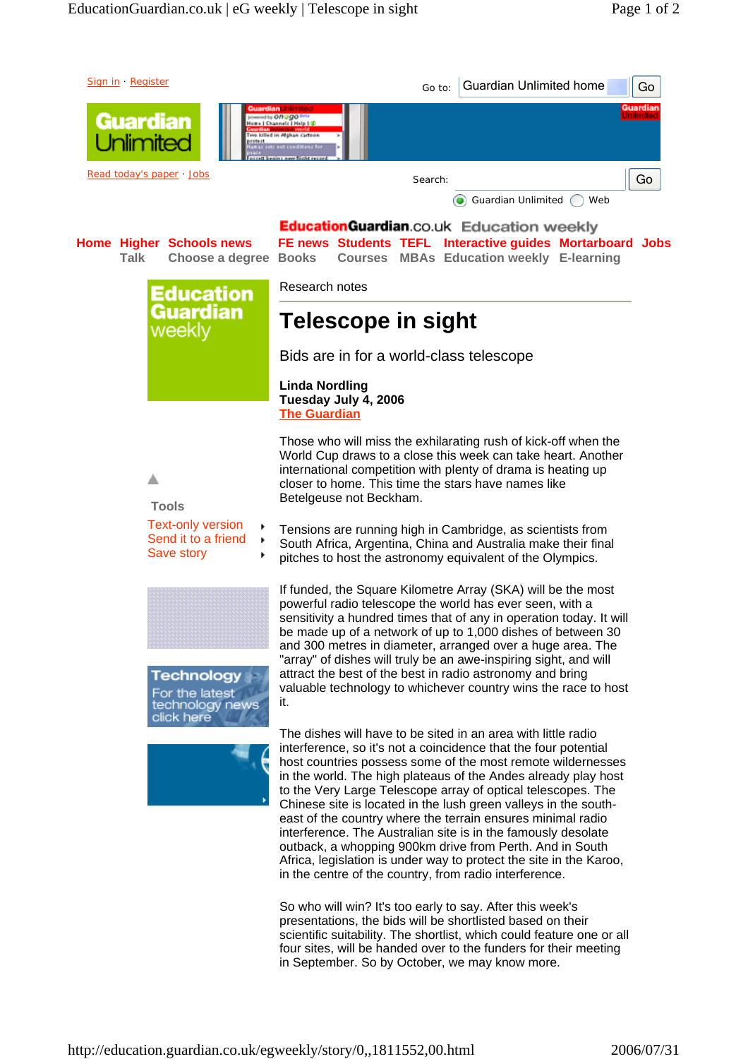